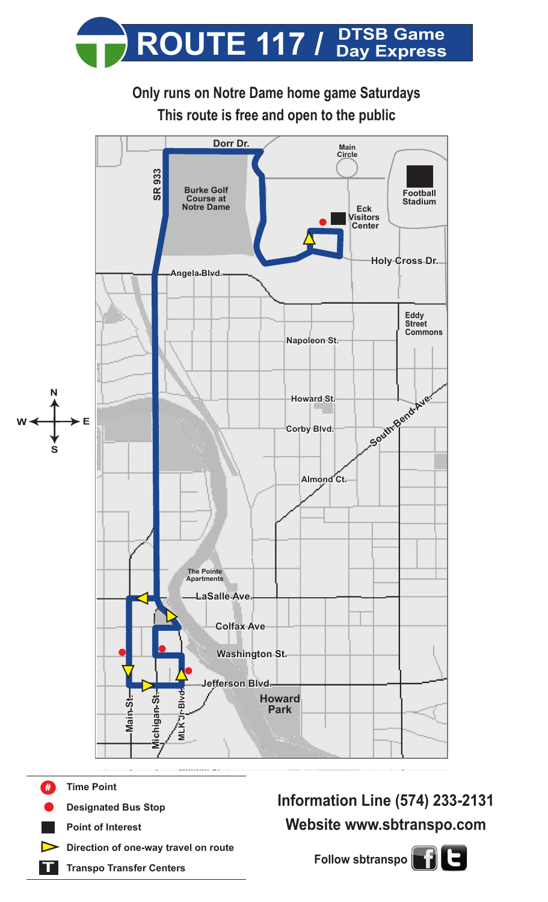

**Only runs on Notre Dame home game Saturdays This route is free and open to the public**



- **Monroe St. Time Point Designated Bus Stop Point of Interest Direction of one-way travel on route** #
- **T Transpo Transfer Centers**

**Information Line (574) 233-2131 Website www.sbtranspo.com**

**Follow sbtranspo**